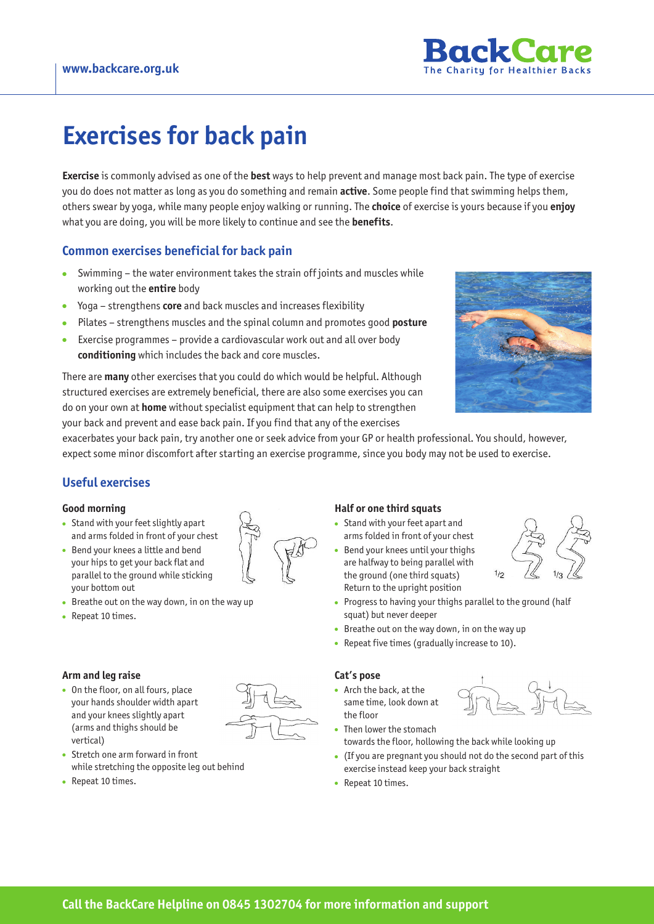

# **Exercises for back pain**

**Exercise** is commonly advised as one of the **best** ways to help prevent and manage most back pain. The type of exercise you do does not matter as long as you do something and remain **active**. Some people find that swimming helps them, others swear by yoga, while many people enjoy walking or running. The **choice** of exercise is yours because if you **enjoy** what you are doing, you will be more likely to continue and see the **benefits**.

# **Common exercises beneficial for back pain**

- Swimming the water environment takes the strain off joints and muscles while working out the **entire** body
- Yoga strengthens **core** and back muscles and increases flexibility
- Pilates strengthens muscles and the spinal column and promotes good **posture**
- Exercise programmes provide a cardiovascular work out and all over body **conditioning** which includes the back and core muscles.

There are **many** other exercises that you could do which would be helpful. Although structured exercises are extremely beneficial, there are also some exercises you can do on your own at **home** without specialist equipment that can help to strengthen your back and prevent and ease back pain. If you find that any of the exercises



exacerbates your back pain, try another one or seek advice from your GP or health professional. You should, however, expect some minor discomfort after starting an exercise programme, since you body may not be used to exercise.

## **Useful exercises**

#### **Good morning**

- Stand with your feet slightly apart and arms folded in front of your chest
- Bend your knees a little and bend your hips to get your back flat and parallel to the ground while sticking your bottom out
- Breathe out on the way down, in on the way up
- Repeat 10 times.

#### **Arm and leg raise**

• On the floor, on all fours, place your hands shoulder width apart and your knees slightly apart (arms and thighs should be vertical)



- Stretch one arm forward in front while stretching the opposite leg out behind
- Repeat 10 times.

### **Half or one third squats**

- Stand with your feet apart and arms folded in front of your chest
- Bend your knees until your thighs are halfway to being parallel with the ground (one third squats) Return to the upright position
- Progress to having your thighs parallel to the ground (half squat) but never deeper
- Breathe out on the way down, in on the way up
- Repeat five times (gradually increase to 10).

#### **Cat's pose**

• Arch the back, at the same time, look down at the floor



- Then lower the stomach towards the floor, hollowing the back while looking up
- (If you are pregnant you should not do the second part of this exercise instead keep your back straight
- Repeat 10 times.